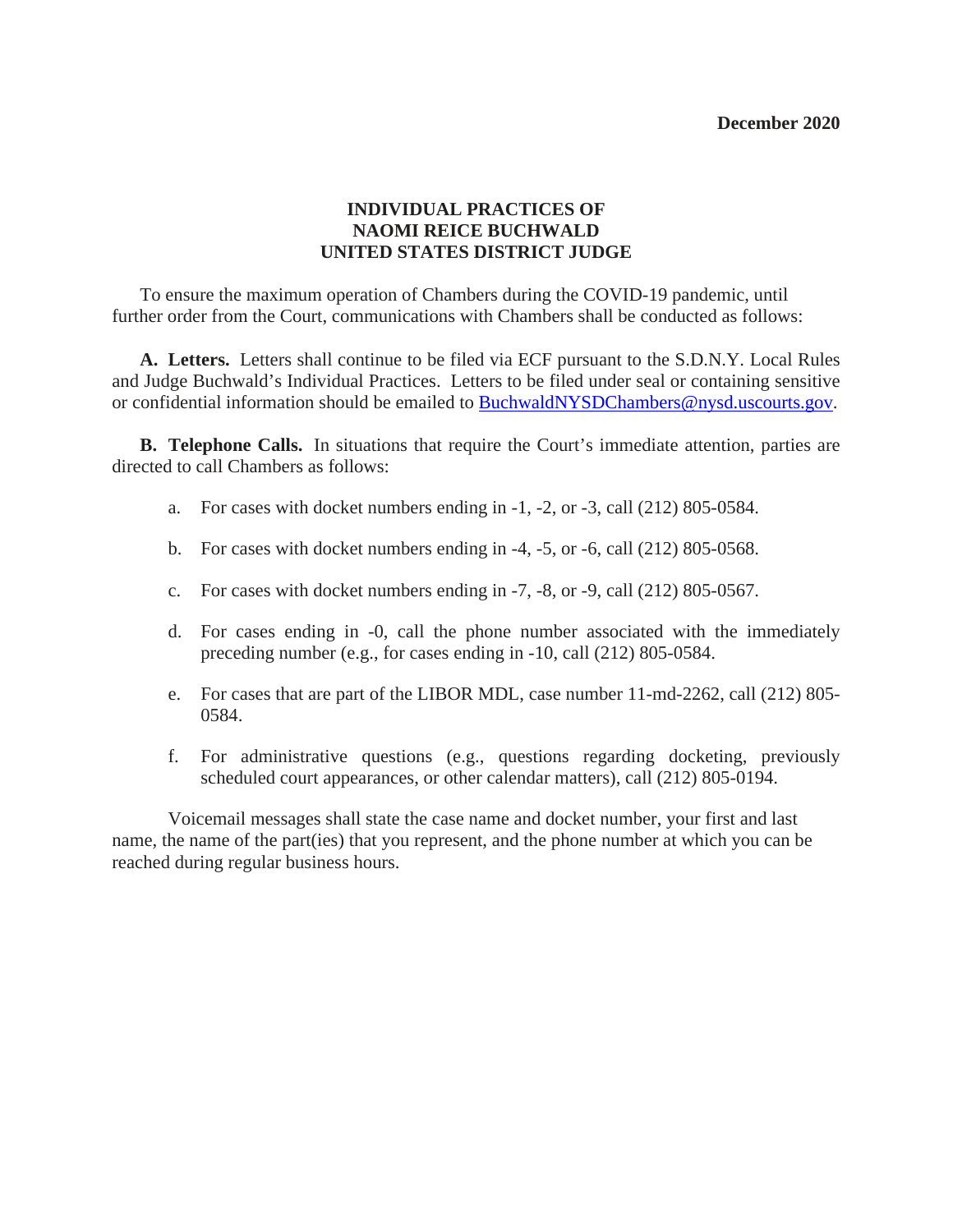#### **December 2020**

### **INDIVIDUAL PRACTICES OF NAOMI REICE BUCHWALD UNITED STATES DISTRICT JUDGE**

 To ensure the maximum operation of Chambers during the COVID-19 pandemic, until further order from the Court, communications with Chambers shall be conducted as follows:

 **A. Letters.** Letters shall continue to be filed via ECF pursuant to the S.D.N.Y. Local Rules and Judge Buchwald's Individual Practices. Letters to be filed under seal or containing sensitive or confidential information should be emailed to [BuchwaldNYSDChambers@nysd.uscourts.gov.](mailto:BuchwaldNYSDChambers@nysd.uscourts.gov)

 **B. Telephone Calls.** In situations that require the Court's immediate attention, parties are directed to call Chambers as follows:

- a. For cases with docket numbers ending in  $-1$ ,  $-2$ , or  $-3$ , call (212) 805-0584.
- b. For cases with docket numbers ending in  $-4$ ,  $-5$ , or  $-6$ , call (212) 805-0568.
- c. For cases with docket numbers ending in -7, -8, or -9, call (212) 805-0567.
- d. For cases ending in -0, call the phone number associated with the immediately preceding number (e.g., for cases ending in -10, call (212) 805-0584.
- e. For cases that are part of the LIBOR MDL, case number 11-md-2262, call (212) 805- 0584.
- f. For administrative questions (e.g., questions regarding docketing, previously scheduled court appearances, or other calendar matters), call (212) 805-0194.

 Voicemail messages shall state the case name and docket number, your first and last name, the name of the part(ies) that you represent, and the phone number at which you can be reached during regular business hours.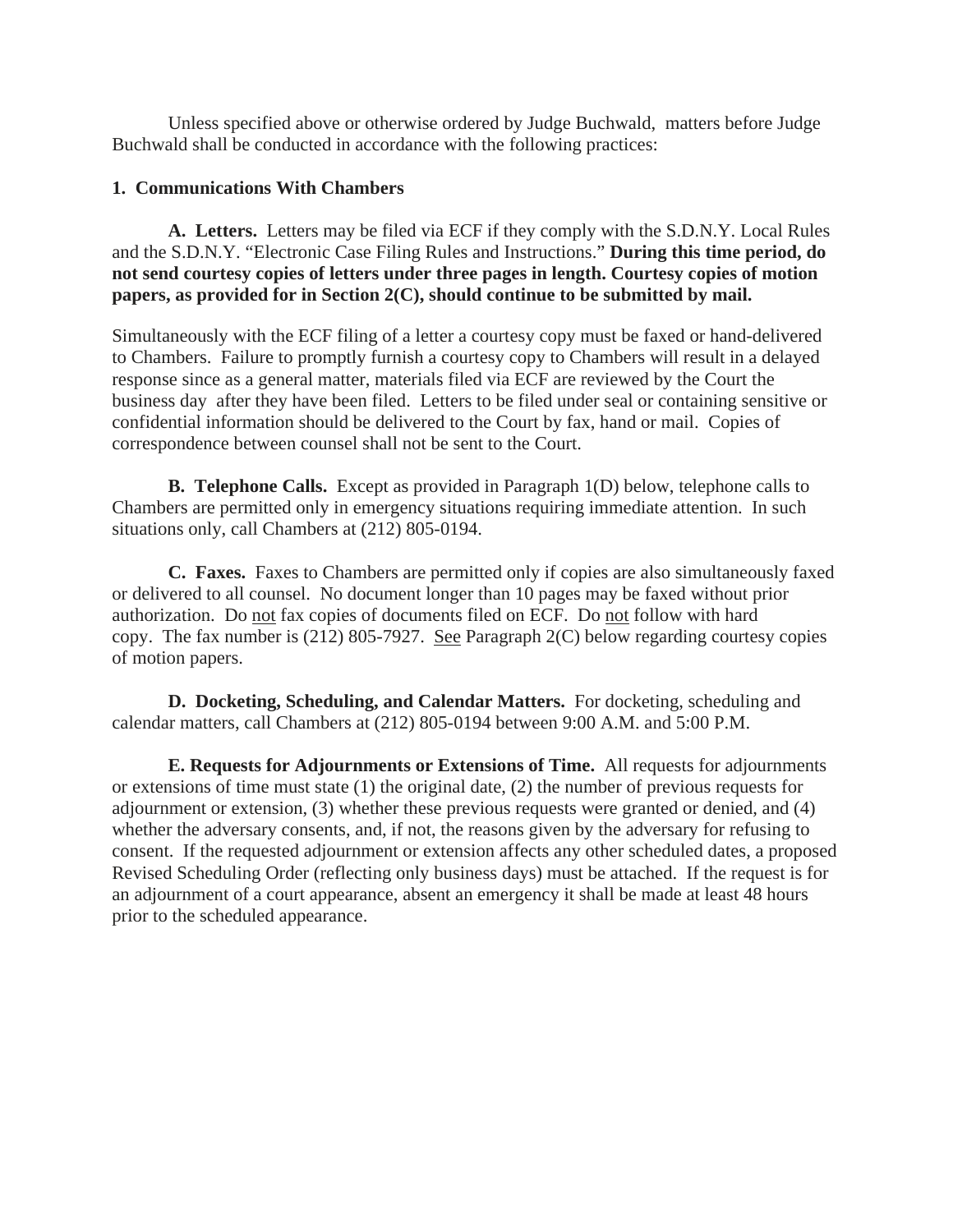Unless specified above or otherwise ordered by Judge Buchwald, matters before Judge Buchwald shall be conducted in accordance with the following practices:

### **1. Communications With Chambers**

 **A. Letters.** Letters may be filed via ECF if they comply with the S.D.N.Y. Local Rules and the S.D.N.Y. "Electronic Case Filing Rules and Instructions." **During this time period, do not send courtesy copies of letters under three pages in length. Courtesy copies of motion papers, as provided for in Section 2(C), should continue to be submitted by mail.**

Simultaneously with the ECF filing of a letter a courtesy copy must be faxed or hand-delivered to Chambers. Failure to promptly furnish a courtesy copy to Chambers will result in a delayed response since as a general matter, materials filed via ECF are reviewed by the Court the business day after they have been filed. Letters to be filed under seal or containing sensitive or confidential information should be delivered to the Court by fax, hand or mail. Copies of correspondence between counsel shall not be sent to the Court.

 **B. Telephone Calls.** Except as provided in Paragraph 1(D) below, telephone calls to Chambers are permitted only in emergency situations requiring immediate attention. In such situations only, call Chambers at (212) 805-0194.

 **C. Faxes.** Faxes to Chambers are permitted only if copies are also simultaneously faxed or delivered to all counsel. No document longer than 10 pages may be faxed without prior authorization. Do not fax copies of documents filed on ECF. Do not follow with hard copy. The fax number is  $(212)$  805-7927. See Paragraph 2(C) below regarding courtesy copies of motion papers.

 **D. Docketing, Scheduling, and Calendar Matters.** For docketing, scheduling and calendar matters, call Chambers at (212) 805-0194 between 9:00 A.M. and 5:00 P.M.

 **E. Requests for Adjournments or Extensions of Time.** All requests for adjournments or extensions of time must state (1) the original date, (2) the number of previous requests for adjournment or extension, (3) whether these previous requests were granted or denied, and (4) whether the adversary consents, and, if not, the reasons given by the adversary for refusing to consent. If the requested adjournment or extension affects any other scheduled dates, a proposed Revised Scheduling Order (reflecting only business days) must be attached. If the request is for an adjournment of a court appearance, absent an emergency it shall be made at least 48 hours prior to the scheduled appearance.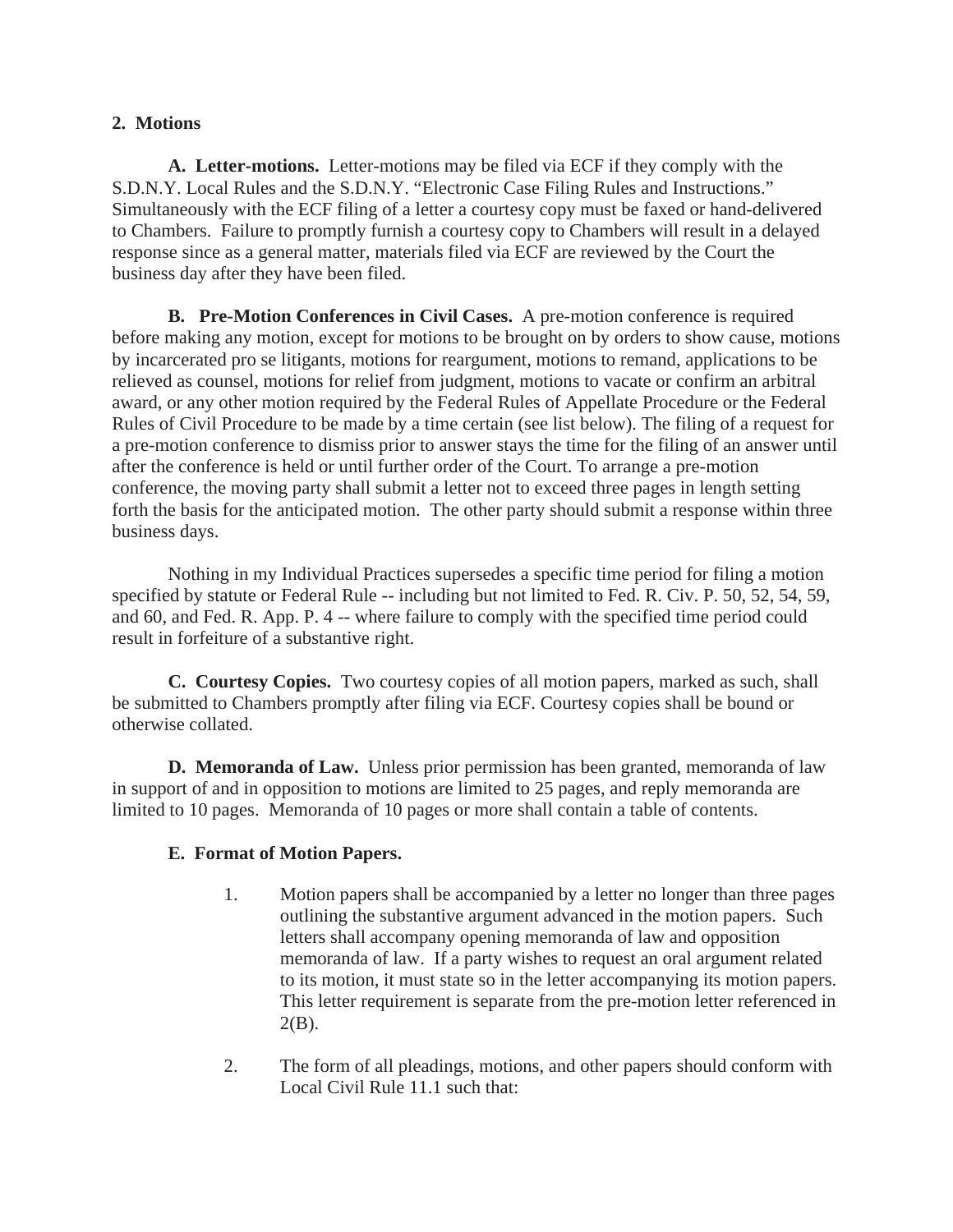## **2. Motions**

 **A. Letter-motions.** Letter-motions may be filed via ECF if they comply with the S.D.N.Y. Local Rules and the S.D.N.Y. "Electronic Case Filing Rules and Instructions." Simultaneously with the ECF filing of a letter a courtesy copy must be faxed or hand-delivered to Chambers. Failure to promptly furnish a courtesy copy to Chambers will result in a delayed response since as a general matter, materials filed via ECF are reviewed by the Court the business day after they have been filed.

 **B. Pre-Motion Conferences in Civil Cases.** A pre-motion conference is required before making any motion, except for motions to be brought on by orders to show cause, motions by incarcerated pro se litigants, motions for reargument, motions to remand, applications to be relieved as counsel, motions for relief from judgment, motions to vacate or confirm an arbitral award, or any other motion required by the Federal Rules of Appellate Procedure or the Federal Rules of Civil Procedure to be made by a time certain (see list below). The filing of a request for a pre-motion conference to dismiss prior to answer stays the time for the filing of an answer until after the conference is held or until further order of the Court. To arrange a pre-motion conference, the moving party shall submit a letter not to exceed three pages in length setting forth the basis for the anticipated motion. The other party should submit a response within three business days.

 Nothing in my Individual Practices supersedes a specific time period for filing a motion specified by statute or Federal Rule -- including but not limited to Fed. R. Civ. P. 50, 52, 54, 59, and 60, and Fed. R. App. P. 4 -- where failure to comply with the specified time period could result in forfeiture of a substantive right.

 **C. Courtesy Copies.** Two courtesy copies of all motion papers, marked as such, shall be submitted to Chambers promptly after filing via ECF. Courtesy copies shall be bound or otherwise collated.

 **D. Memoranda of Law.** Unless prior permission has been granted, memoranda of law in support of and in opposition to motions are limited to 25 pages, and reply memoranda are limited to 10 pages. Memoranda of 10 pages or more shall contain a table of contents.

# **E. Format of Motion Papers.**

- 1. Motion papers shall be accompanied by a letter no longer than three pages outlining the substantive argument advanced in the motion papers. Such letters shall accompany opening memoranda of law and opposition memoranda of law. If a party wishes to request an oral argument related to its motion, it must state so in the letter accompanying its motion papers. This letter requirement is separate from the pre-motion letter referenced in  $2(B)$ .
- 2. The form of all pleadings, motions, and other papers should conform with Local Civil Rule 11.1 such that: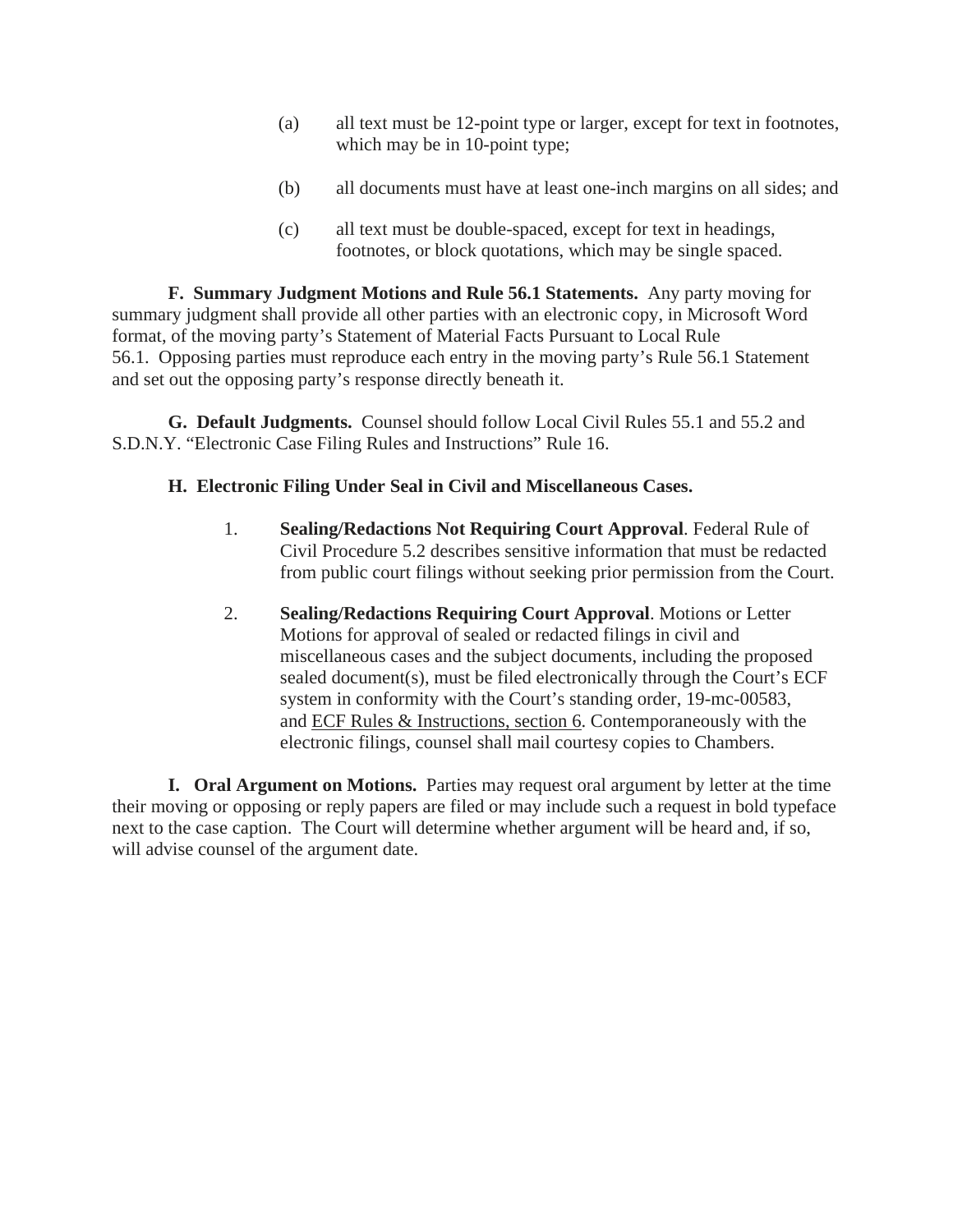- (a) all text must be 12-point type or larger, except for text in footnotes, which may be in 10-point type;
- (b) all documents must have at least one-inch margins on all sides; and
- (c) all text must be double-spaced, except for text in headings, footnotes, or block quotations, which may be single spaced.

 **F. Summary Judgment Motions and Rule 56.1 Statements.** Any party moving for summary judgment shall provide all other parties with an electronic copy, in Microsoft Word format, of the moving party's Statement of Material Facts Pursuant to Local Rule 56.1. Opposing parties must reproduce each entry in the moving party's Rule 56.1 Statement and set out the opposing party's response directly beneath it.

 **G. Default Judgments.** Counsel should follow Local Civil Rules 55.1 and 55.2 and S.D.N.Y. "Electronic Case Filing Rules and Instructions" Rule 16.

## **H. Electronic Filing Under Seal in Civil and Miscellaneous Cases.**

- 1. **Sealing/Redactions Not Requiring Court Approval**. Federal Rule of Civil Procedure 5.2 describes sensitive information that must be redacted from public court filings without seeking prior permission from the Court.
- 2. **Sealing/Redactions Requiring Court Approval**. Motions or Letter Motions for approval of sealed or redacted filings in civil and miscellaneous cases and the subject documents, including the proposed sealed document(s), must be filed electronically through the Court's ECF system in conformity with the Court's standing order, 19-mc-00583, and ECF Rules & Instructions, section 6. Contemporaneously with the electronic filings, counsel shall mail courtesy copies to Chambers.

 **I. Oral Argument on Motions.** Parties may request oral argument by letter at the time their moving or opposing or reply papers are filed or may include such a request in bold typeface next to the case caption. The Court will determine whether argument will be heard and, if so, will advise counsel of the argument date.